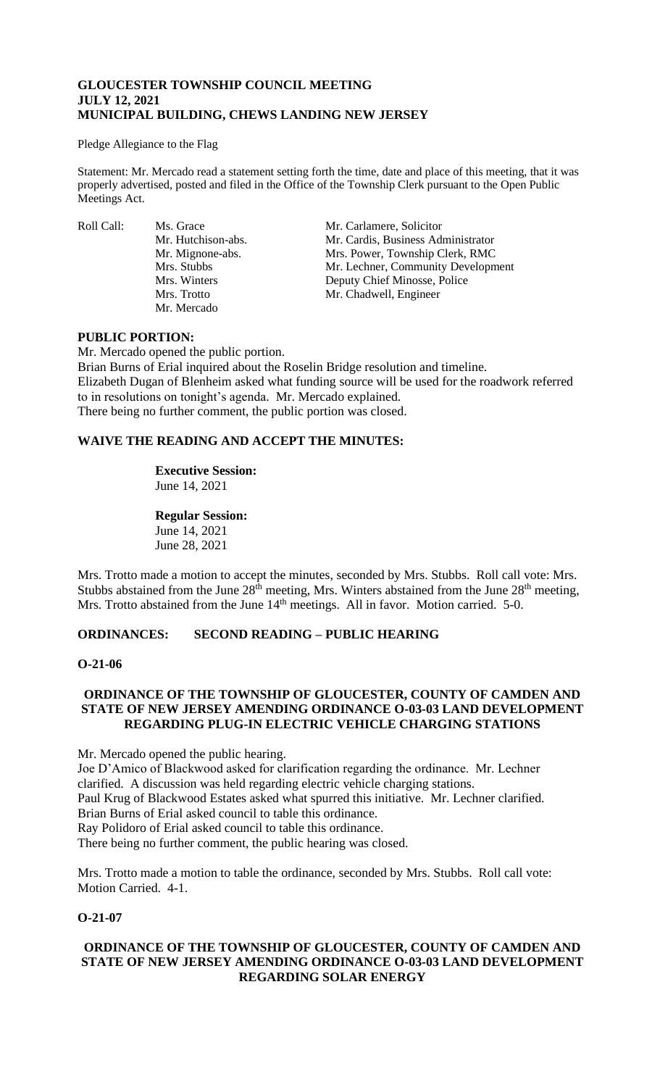## **GLOUCESTER TOWNSHIP COUNCIL MEETING JULY 12, 2021 MUNICIPAL BUILDING, CHEWS LANDING NEW JERSEY**

#### Pledge Allegiance to the Flag

Statement: Mr. Mercado read a statement setting forth the time, date and place of this meeting, that it was properly advertised, posted and filed in the Office of the Township Clerk pursuant to the Open Public Meetings Act.

Roll Call: Ms. Grace Mr. Carlamere, Solicitor<br>Mr. Hutchison-abs. Mr. Cardis, Business Adı Mr. Mercado

Mr. Cardis, Business Administrator Mr. Mignone-abs. Mrs. Power, Township Clerk, RMC Mrs. Stubbs Mr. Lechner, Community Development Mrs. Winters Deputy Chief Minosse, Police Mrs. Trotto Mr. Chadwell, Engineer

### **PUBLIC PORTION:**

Mr. Mercado opened the public portion.

Brian Burns of Erial inquired about the Roselin Bridge resolution and timeline. Elizabeth Dugan of Blenheim asked what funding source will be used for the roadwork referred to in resolutions on tonight's agenda. Mr. Mercado explained. There being no further comment, the public portion was closed.

## **WAIVE THE READING AND ACCEPT THE MINUTES:**

# **Executive Session:**

June 14, 2021

## **Regular Session:**

June 14, 2021 June 28, 2021

Mrs. Trotto made a motion to accept the minutes, seconded by Mrs. Stubbs. Roll call vote: Mrs. Stubbs abstained from the June  $28<sup>th</sup>$  meeting, Mrs. Winters abstained from the June  $28<sup>th</sup>$  meeting, Mrs. Trotto abstained from the June 14<sup>th</sup> meetings. All in favor. Motion carried. 5-0.

## **ORDINANCES: SECOND READING – PUBLIC HEARING**

## **O-21-06**

## **ORDINANCE OF THE TOWNSHIP OF GLOUCESTER, COUNTY OF CAMDEN AND STATE OF NEW JERSEY AMENDING ORDINANCE O-03-03 LAND DEVELOPMENT REGARDING PLUG-IN ELECTRIC VEHICLE CHARGING STATIONS**

Mr. Mercado opened the public hearing.

Joe D'Amico of Blackwood asked for clarification regarding the ordinance. Mr. Lechner clarified. A discussion was held regarding electric vehicle charging stations.

Paul Krug of Blackwood Estates asked what spurred this initiative. Mr. Lechner clarified.

Brian Burns of Erial asked council to table this ordinance.

Ray Polidoro of Erial asked council to table this ordinance.

There being no further comment, the public hearing was closed.

Mrs. Trotto made a motion to table the ordinance, seconded by Mrs. Stubbs. Roll call vote: Motion Carried. 4-1.

## **O-21-07**

## **ORDINANCE OF THE TOWNSHIP OF GLOUCESTER, COUNTY OF CAMDEN AND STATE OF NEW JERSEY AMENDING ORDINANCE O-03-03 LAND DEVELOPMENT REGARDING SOLAR ENERGY**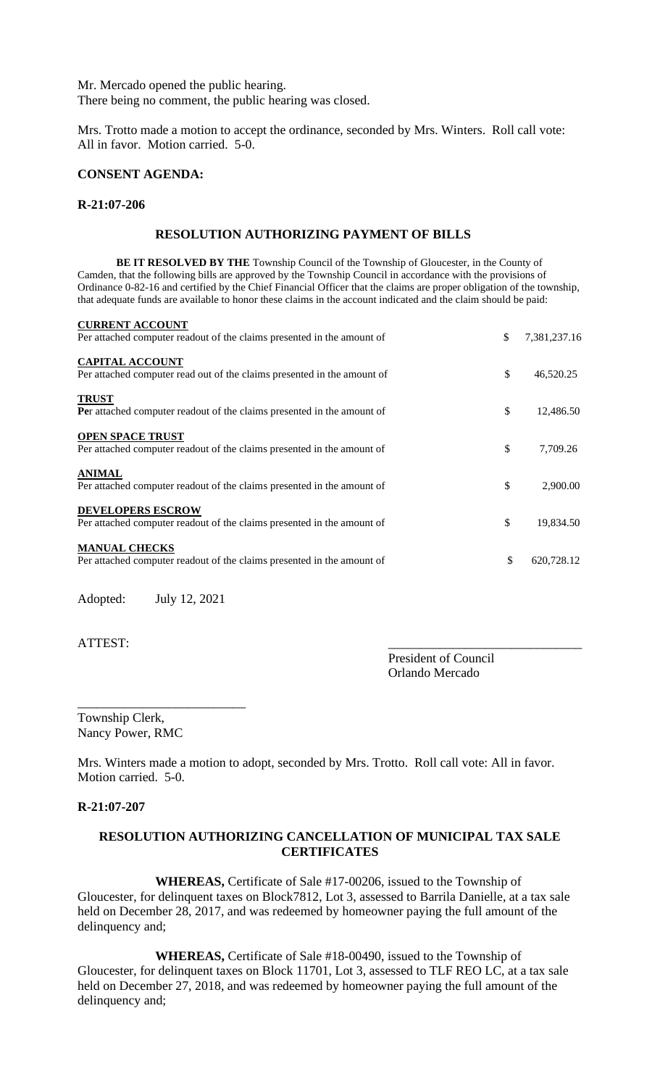Mr. Mercado opened the public hearing. There being no comment, the public hearing was closed.

Mrs. Trotto made a motion to accept the ordinance, seconded by Mrs. Winters. Roll call vote: All in favor. Motion carried. 5-0.

### **CONSENT AGENDA:**

#### **R-21:07-206**

#### **RESOLUTION AUTHORIZING PAYMENT OF BILLS**

**BE IT RESOLVED BY THE** Township Council of the Township of Gloucester, in the County of Camden, that the following bills are approved by the Township Council in accordance with the provisions of Ordinance 0-82-16 and certified by the Chief Financial Officer that the claims are proper obligation of the township, that adequate funds are available to honor these claims in the account indicated and the claim should be paid:

| <b>CURRENT ACCOUNT</b><br>Per attached computer readout of the claims presented in the amount of   | \$<br>7,381,237.16 |
|----------------------------------------------------------------------------------------------------|--------------------|
| <b>CAPITAL ACCOUNT</b><br>Per attached computer read out of the claims presented in the amount of  | \$<br>46,520.25    |
| <b>TRUST</b><br><b>Per</b> attached computer readout of the claims presented in the amount of      | \$<br>12,486.50    |
| <b>OPEN SPACE TRUST</b><br>Per attached computer readout of the claims presented in the amount of  | \$<br>7,709.26     |
| <b>ANIMAL</b><br>Per attached computer readout of the claims presented in the amount of            | \$<br>2,900.00     |
| <b>DEVELOPERS ESCROW</b><br>Per attached computer readout of the claims presented in the amount of | \$<br>19,834.50    |
| <b>MANUAL CHECKS</b><br>Per attached computer readout of the claims presented in the amount of     | \$<br>620,728.12   |

Adopted: July 12, 2021

\_\_\_\_\_\_\_\_\_\_\_\_\_\_\_\_\_\_\_\_\_\_\_\_\_\_

ATTEST:

President of Council Orlando Mercado

Township Clerk, Nancy Power, RMC

Mrs. Winters made a motion to adopt, seconded by Mrs. Trotto. Roll call vote: All in favor. Motion carried. 5-0.

#### **R-21:07-207**

## **RESOLUTION AUTHORIZING CANCELLATION OF MUNICIPAL TAX SALE CERTIFICATES**

**WHEREAS,** Certificate of Sale #17-00206, issued to the Township of Gloucester, for delinquent taxes on Block7812, Lot 3, assessed to Barrila Danielle, at a tax sale held on December 28, 2017, and was redeemed by homeowner paying the full amount of the delinquency and;

**WHEREAS,** Certificate of Sale #18-00490, issued to the Township of Gloucester, for delinquent taxes on Block 11701, Lot 3, assessed to TLF REO LC, at a tax sale held on December 27, 2018, and was redeemed by homeowner paying the full amount of the delinquency and;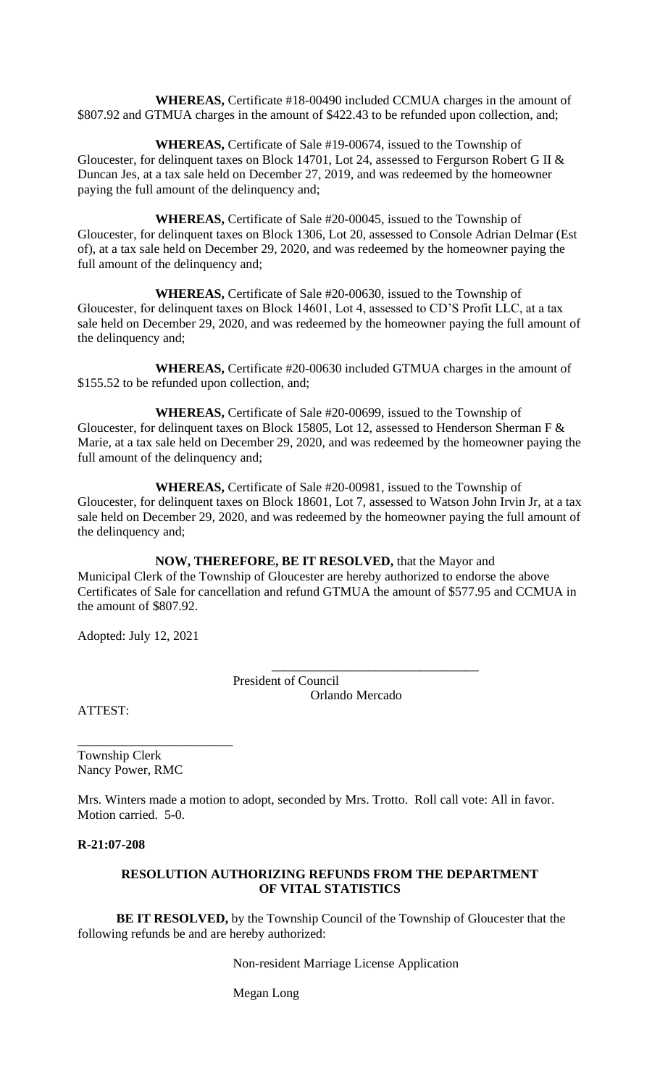**WHEREAS,** Certificate #18-00490 included CCMUA charges in the amount of \$807.92 and GTMUA charges in the amount of \$422.43 to be refunded upon collection, and;

**WHEREAS,** Certificate of Sale #19-00674, issued to the Township of Gloucester, for delinquent taxes on Block 14701, Lot 24, assessed to Fergurson Robert G II & Duncan Jes, at a tax sale held on December 27, 2019, and was redeemed by the homeowner paying the full amount of the delinquency and;

**WHEREAS,** Certificate of Sale #20-00045, issued to the Township of Gloucester, for delinquent taxes on Block 1306, Lot 20, assessed to Console Adrian Delmar (Est of), at a tax sale held on December 29, 2020, and was redeemed by the homeowner paying the full amount of the delinquency and;

**WHEREAS,** Certificate of Sale #20-00630, issued to the Township of Gloucester, for delinquent taxes on Block 14601, Lot 4, assessed to CD'S Profit LLC, at a tax sale held on December 29, 2020, and was redeemed by the homeowner paying the full amount of the delinquency and;

**WHEREAS,** Certificate #20-00630 included GTMUA charges in the amount of \$155.52 to be refunded upon collection, and;

**WHEREAS,** Certificate of Sale #20-00699, issued to the Township of Gloucester, for delinquent taxes on Block 15805, Lot 12, assessed to Henderson Sherman F & Marie, at a tax sale held on December 29, 2020, and was redeemed by the homeowner paying the full amount of the delinquency and;

**WHEREAS,** Certificate of Sale #20-00981, issued to the Township of Gloucester, for delinquent taxes on Block 18601, Lot 7, assessed to Watson John Irvin Jr, at a tax sale held on December 29, 2020, and was redeemed by the homeowner paying the full amount of the delinquency and;

**NOW, THEREFORE, BE IT RESOLVED,** that the Mayor and Municipal Clerk of the Township of Gloucester are hereby authorized to endorse the above Certificates of Sale for cancellation and refund GTMUA the amount of \$577.95 and CCMUA in the amount of \$807.92.

Adopted: July 12, 2021

President of Council Orlando Mercado

\_\_\_\_\_\_\_\_\_\_\_\_\_\_\_\_\_\_\_\_\_\_\_\_\_\_\_\_\_\_\_\_

ATTEST:

Township Clerk Nancy Power, RMC

\_\_\_\_\_\_\_\_\_\_\_\_\_\_\_\_\_\_\_\_\_\_\_\_

Mrs. Winters made a motion to adopt, seconded by Mrs. Trotto. Roll call vote: All in favor. Motion carried. 5-0.

**R-21:07-208**

## **RESOLUTION AUTHORIZING REFUNDS FROM THE DEPARTMENT OF VITAL STATISTICS**

**BE IT RESOLVED,** by the Township Council of the Township of Gloucester that the following refunds be and are hereby authorized:

Non-resident Marriage License Application

Megan Long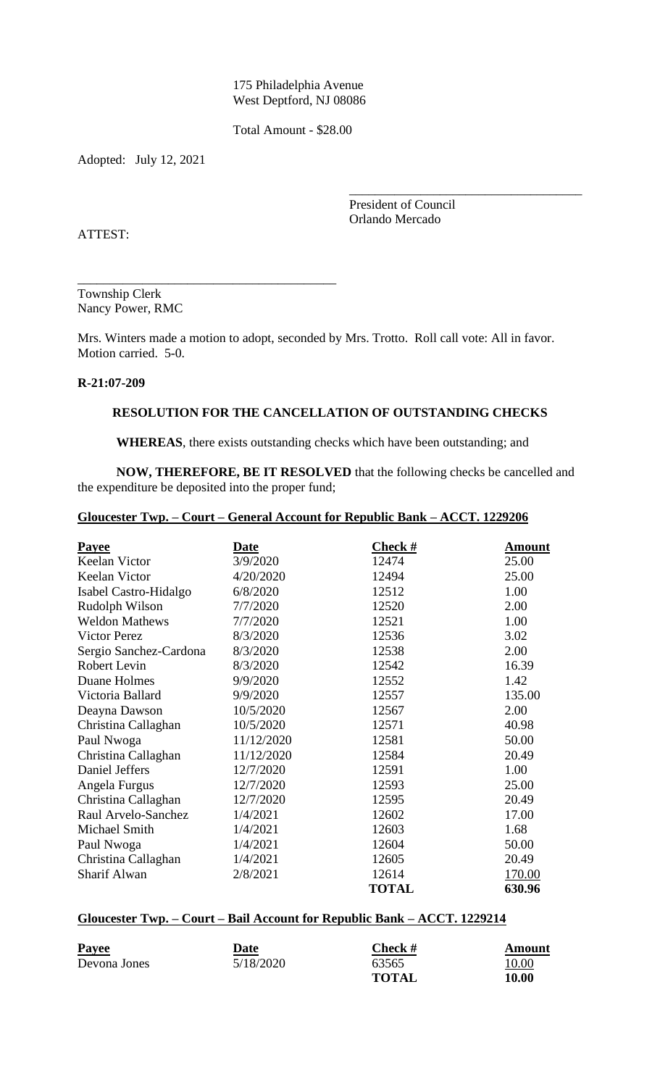175 Philadelphia Avenue West Deptford, NJ 08086

Total Amount - \$28.00

Adopted: July 12, 2021

President of Council Orlando Mercado

\_\_\_\_\_\_\_\_\_\_\_\_\_\_\_\_\_\_\_\_\_\_\_\_\_\_\_\_\_\_\_\_\_\_\_\_

ATTEST:

Township Clerk Nancy Power, RMC

\_\_\_\_\_\_\_\_\_\_\_\_\_\_\_\_\_\_\_\_\_\_\_\_\_\_\_\_\_\_\_\_\_\_\_\_\_\_\_\_

Mrs. Winters made a motion to adopt, seconded by Mrs. Trotto. Roll call vote: All in favor. Motion carried. 5-0.

## **R-21:07-209**

## **RESOLUTION FOR THE CANCELLATION OF OUTSTANDING CHECKS**

**WHEREAS**, there exists outstanding checks which have been outstanding; and

**NOW, THEREFORE, BE IT RESOLVED** that the following checks be cancelled and the expenditure be deposited into the proper fund;

# **Gloucester Twp. – Court – General Account for Republic Bank – ACCT. 1229206**

| <b>Payee</b>           | <u>Date</u> | <b>Check#</b> | Amount |
|------------------------|-------------|---------------|--------|
| Keelan Victor          | 3/9/2020    | 12474         | 25.00  |
| Keelan Victor          | 4/20/2020   | 12494         | 25.00  |
| Isabel Castro-Hidalgo  | 6/8/2020    | 12512         | 1.00   |
| Rudolph Wilson         | 7/7/2020    | 12520         | 2.00   |
| <b>Weldon Mathews</b>  | 7/7/2020    | 12521         | 1.00   |
| <b>Victor Perez</b>    | 8/3/2020    | 12536         | 3.02   |
| Sergio Sanchez-Cardona | 8/3/2020    | 12538         | 2.00   |
| <b>Robert Levin</b>    | 8/3/2020    | 12542         | 16.39  |
| Duane Holmes           | 9/9/2020    | 12552         | 1.42   |
| Victoria Ballard       | 9/9/2020    | 12557         | 135.00 |
| Deayna Dawson          | 10/5/2020   | 12567         | 2.00   |
| Christina Callaghan    | 10/5/2020   | 12571         | 40.98  |
| Paul Nwoga             | 11/12/2020  | 12581         | 50.00  |
| Christina Callaghan    | 11/12/2020  | 12584         | 20.49  |
| Daniel Jeffers         | 12/7/2020   | 12591         | 1.00   |
| Angela Furgus          | 12/7/2020   | 12593         | 25.00  |
| Christina Callaghan    | 12/7/2020   | 12595         | 20.49  |
| Raul Arvelo-Sanchez    | 1/4/2021    | 12602         | 17.00  |
| Michael Smith          | 1/4/2021    | 12603         | 1.68   |
| Paul Nwoga             | 1/4/2021    | 12604         | 50.00  |
| Christina Callaghan    | 1/4/2021    | 12605         | 20.49  |
| Sharif Alwan           | 2/8/2021    | 12614         | 170.00 |
|                        |             | <b>TOTAL</b>  | 630.96 |

## **Gloucester Twp. – Court – Bail Account for Republic Bank – ACCT. 1229214**

| <b>Payee</b> | Date      | <b>Check</b> $#$ | Amount        |
|--------------|-----------|------------------|---------------|
| Devona Jones | 5/18/2020 | 63565            | <u> 10.00</u> |
|              |           | TOTAL            | 10.00         |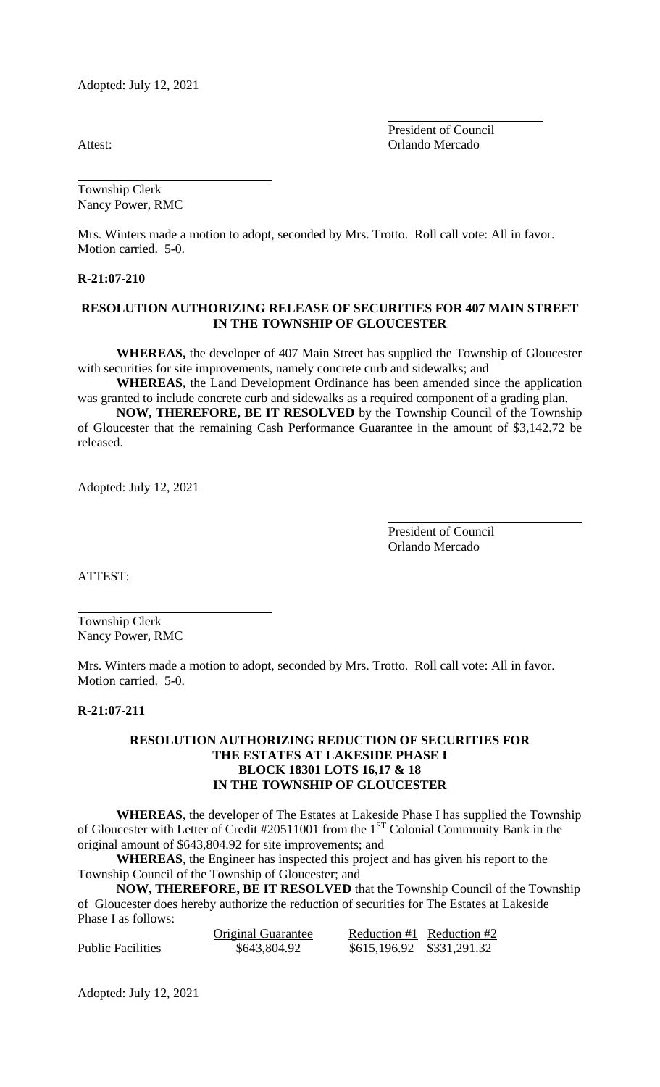Adopted: July 12, 2021

President of Council Attest: Orlando Mercado

Township Clerk Nancy Power, RMC

Mrs. Winters made a motion to adopt, seconded by Mrs. Trotto. Roll call vote: All in favor. Motion carried. 5-0.

#### **R-21:07-210**

### **RESOLUTION AUTHORIZING RELEASE OF SECURITIES FOR 407 MAIN STREET IN THE TOWNSHIP OF GLOUCESTER**

**WHEREAS,** the developer of 407 Main Street has supplied the Township of Gloucester with securities for site improvements, namely concrete curb and sidewalks; and

**WHEREAS,** the Land Development Ordinance has been amended since the application was granted to include concrete curb and sidewalks as a required component of a grading plan.

**NOW, THEREFORE, BE IT RESOLVED** by the Township Council of the Township of Gloucester that the remaining Cash Performance Guarantee in the amount of \$3,142.72 be released.

Adopted: July 12, 2021

President of Council Orlando Mercado

ATTEST:

Township Clerk Nancy Power, RMC

Mrs. Winters made a motion to adopt, seconded by Mrs. Trotto. Roll call vote: All in favor. Motion carried. 5-0.

#### **R-21:07-211**

### **RESOLUTION AUTHORIZING REDUCTION OF SECURITIES FOR THE ESTATES AT LAKESIDE PHASE I BLOCK 18301 LOTS 16,17 & 18 IN THE TOWNSHIP OF GLOUCESTER**

**WHEREAS**, the developer of The Estates at Lakeside Phase I has supplied the Township of Gloucester with Letter of Credit #20511001 from the 1<sup>ST</sup> Colonial Community Bank in the original amount of \$643,804.92 for site improvements; and

**WHEREAS**, the Engineer has inspected this project and has given his report to the Township Council of the Township of Gloucester; and

**NOW, THEREFORE, BE IT RESOLVED** that the Township Council of the Township of Gloucester does hereby authorize the reduction of securities for The Estates at Lakeside Phase I as follows:

|                   | <b>Original Guarantee</b> |                           | Reduction $#1$ Reduction $#2$ |
|-------------------|---------------------------|---------------------------|-------------------------------|
| Public Facilities | \$643,804.92              | \$615,196.92 \$331,291.32 |                               |

Adopted: July 12, 2021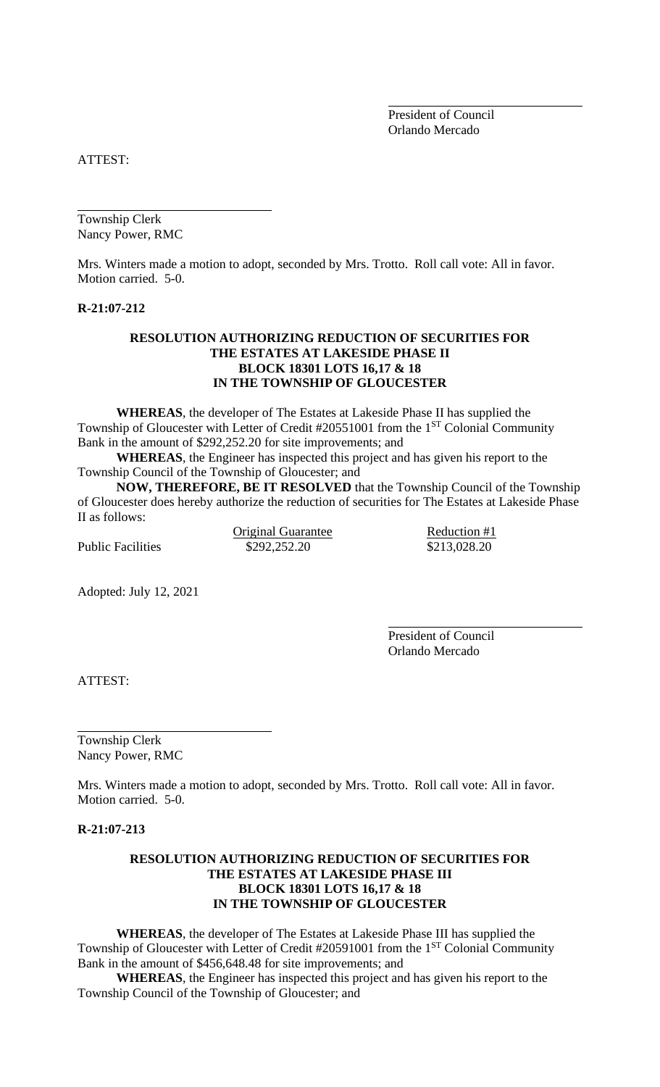President of Council Orlando Mercado

ATTEST:

Township Clerk Nancy Power, RMC

Mrs. Winters made a motion to adopt, seconded by Mrs. Trotto. Roll call vote: All in favor. Motion carried. 5-0.

#### **R-21:07-212**

### **RESOLUTION AUTHORIZING REDUCTION OF SECURITIES FOR THE ESTATES AT LAKESIDE PHASE II BLOCK 18301 LOTS 16,17 & 18 IN THE TOWNSHIP OF GLOUCESTER**

**WHEREAS**, the developer of The Estates at Lakeside Phase II has supplied the Township of Gloucester with Letter of Credit #20551001 from the 1<sup>ST</sup> Colonial Community Bank in the amount of \$292,252.20 for site improvements; and

**WHEREAS**, the Engineer has inspected this project and has given his report to the Township Council of the Township of Gloucester; and

**NOW, THEREFORE, BE IT RESOLVED** that the Township Council of the Township of Gloucester does hereby authorize the reduction of securities for The Estates at Lakeside Phase II as follows:

Public Facilities  $$292,252.20$   $$213,028.20$ 

Original Guarantee Reduction #1

Adopted: July 12, 2021

President of Council Orlando Mercado

ATTEST:

Township Clerk Nancy Power, RMC

Mrs. Winters made a motion to adopt, seconded by Mrs. Trotto. Roll call vote: All in favor. Motion carried. 5-0.

**R-21:07-213**

## **RESOLUTION AUTHORIZING REDUCTION OF SECURITIES FOR THE ESTATES AT LAKESIDE PHASE III BLOCK 18301 LOTS 16,17 & 18 IN THE TOWNSHIP OF GLOUCESTER**

**WHEREAS**, the developer of The Estates at Lakeside Phase III has supplied the Township of Gloucester with Letter of Credit #20591001 from the 1<sup>ST</sup> Colonial Community Bank in the amount of \$456,648.48 for site improvements; and

**WHEREAS**, the Engineer has inspected this project and has given his report to the Township Council of the Township of Gloucester; and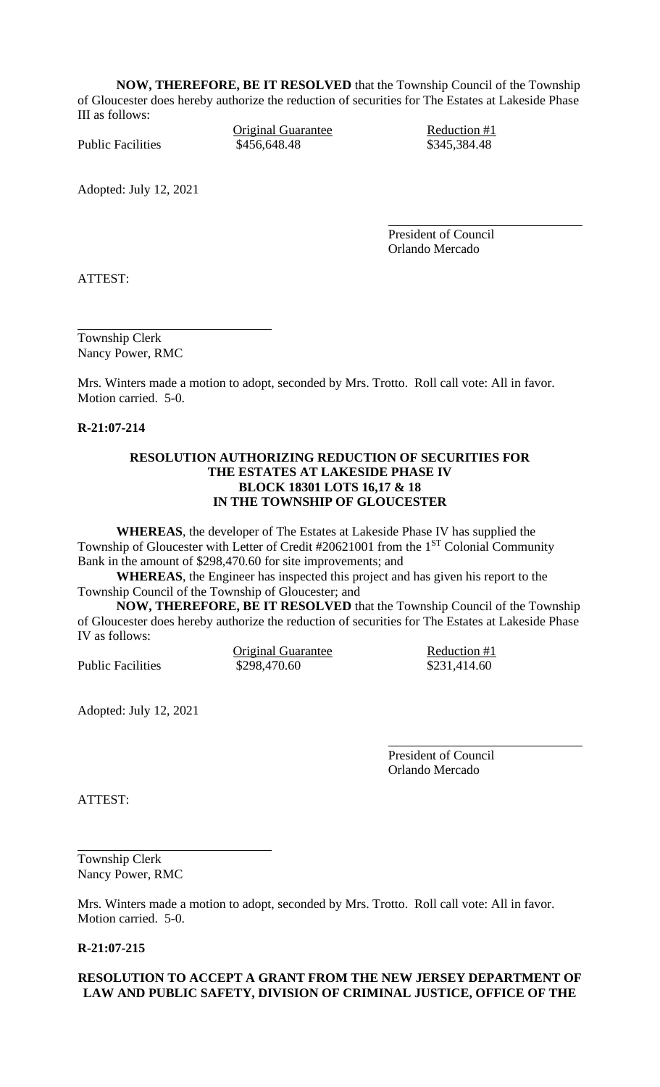**NOW, THEREFORE, BE IT RESOLVED** that the Township Council of the Township of Gloucester does hereby authorize the reduction of securities for The Estates at Lakeside Phase III as follows:

Original Guarantee Reduction #1 Public Facilities  $$456,648.48$   $$345,384.48$ 

Adopted: July 12, 2021

President of Council Orlando Mercado

ATTEST:

Township Clerk Nancy Power, RMC

Mrs. Winters made a motion to adopt, seconded by Mrs. Trotto. Roll call vote: All in favor. Motion carried. 5-0.

**R-21:07-214**

### **RESOLUTION AUTHORIZING REDUCTION OF SECURITIES FOR THE ESTATES AT LAKESIDE PHASE IV BLOCK 18301 LOTS 16,17 & 18 IN THE TOWNSHIP OF GLOUCESTER**

**WHEREAS**, the developer of The Estates at Lakeside Phase IV has supplied the Township of Gloucester with Letter of Credit #20621001 from the 1<sup>ST</sup> Colonial Community Bank in the amount of \$298,470.60 for site improvements; and

**WHEREAS**, the Engineer has inspected this project and has given his report to the Township Council of the Township of Gloucester; and

**NOW, THEREFORE, BE IT RESOLVED** that the Township Council of the Township of Gloucester does hereby authorize the reduction of securities for The Estates at Lakeside Phase IV as follows:

Original Guarantee Reduction #1 Public Facilities  $$298,470.60$   $$231,414.60$ 

Adopted: July 12, 2021

President of Council Orlando Mercado

ATTEST:

Township Clerk Nancy Power, RMC

Mrs. Winters made a motion to adopt, seconded by Mrs. Trotto. Roll call vote: All in favor. Motion carried. 5-0.

**R-21:07-215**

## **RESOLUTION TO ACCEPT A GRANT FROM THE NEW JERSEY DEPARTMENT OF LAW AND PUBLIC SAFETY, DIVISION OF CRIMINAL JUSTICE, OFFICE OF THE**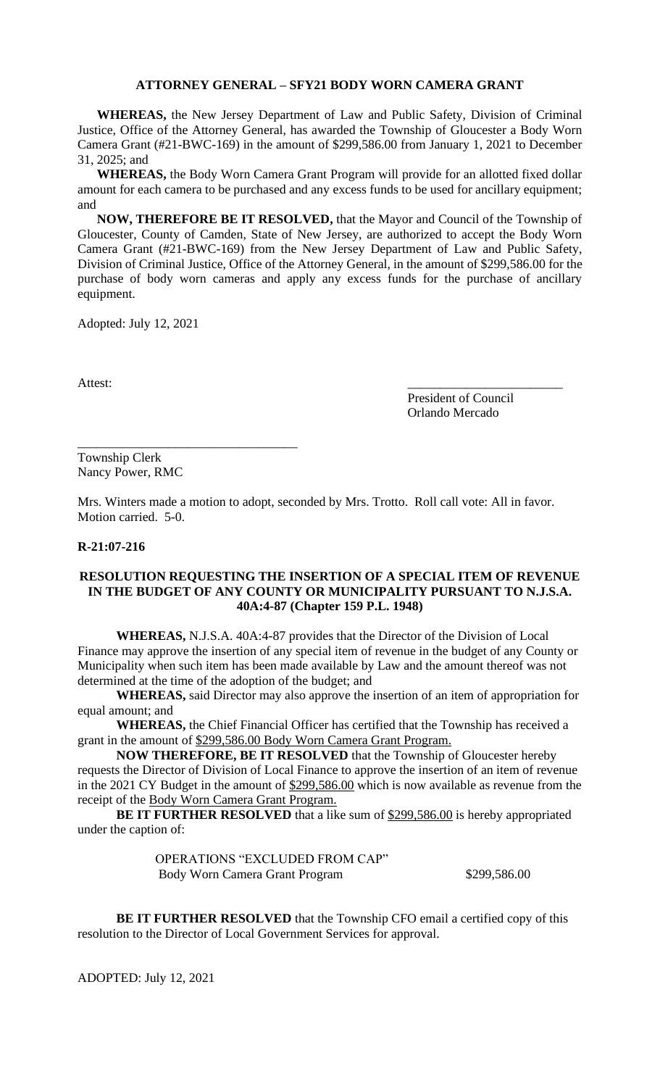#### **ATTORNEY GENERAL – SFY21 BODY WORN CAMERA GRANT**

**WHEREAS,** the New Jersey Department of Law and Public Safety, Division of Criminal Justice, Office of the Attorney General, has awarded the Township of Gloucester a Body Worn Camera Grant (#21-BWC-169) in the amount of \$299,586.00 from January 1, 2021 to December 31, 2025; and

**WHEREAS,** the Body Worn Camera Grant Program will provide for an allotted fixed dollar amount for each camera to be purchased and any excess funds to be used for ancillary equipment; and

**NOW, THEREFORE BE IT RESOLVED,** that the Mayor and Council of the Township of Gloucester, County of Camden, State of New Jersey, are authorized to accept the Body Worn Camera Grant (#21-BWC-169) from the New Jersey Department of Law and Public Safety, Division of Criminal Justice, Office of the Attorney General, in the amount of \$299,586.00 for the purchase of body worn cameras and apply any excess funds for the purchase of ancillary equipment.

Adopted: July 12, 2021

Attest:

President of Council Orlando Mercado

Township Clerk Nancy Power, RMC

\_\_\_\_\_\_\_\_\_\_\_\_\_\_\_\_\_\_\_\_\_\_\_\_\_\_\_\_\_\_\_\_\_\_

Mrs. Winters made a motion to adopt, seconded by Mrs. Trotto. Roll call vote: All in favor. Motion carried. 5-0.

#### **R-21:07-216**

## **RESOLUTION REQUESTING THE INSERTION OF A SPECIAL ITEM OF REVENUE IN THE BUDGET OF ANY COUNTY OR MUNICIPALITY PURSUANT TO N.J.S.A. 40A:4-87 (Chapter 159 P.L. 1948)**

**WHEREAS,** N.J.S.A. 40A:4-87 provides that the Director of the Division of Local Finance may approve the insertion of any special item of revenue in the budget of any County or Municipality when such item has been made available by Law and the amount thereof was not determined at the time of the adoption of the budget; and

**WHEREAS,** said Director may also approve the insertion of an item of appropriation for equal amount; and

**WHEREAS,** the Chief Financial Officer has certified that the Township has received a grant in the amount of \$299,586.00 Body Worn Camera Grant Program.

**NOW THEREFORE, BE IT RESOLVED** that the Township of Gloucester hereby requests the Director of Division of Local Finance to approve the insertion of an item of revenue in the 2021 CY Budget in the amount of \$299,586.00 which is now available as revenue from the receipt of the Body Worn Camera Grant Program.

**BE IT FURTHER RESOLVED** that a like sum of \$299,586.00 is hereby appropriated under the caption of:

> OPERATIONS "EXCLUDED FROM CAP" Body Worn Camera Grant Program  $$299,586.00$

**BE IT FURTHER RESOLVED** that the Township CFO email a certified copy of this resolution to the Director of Local Government Services for approval.

ADOPTED: July 12, 2021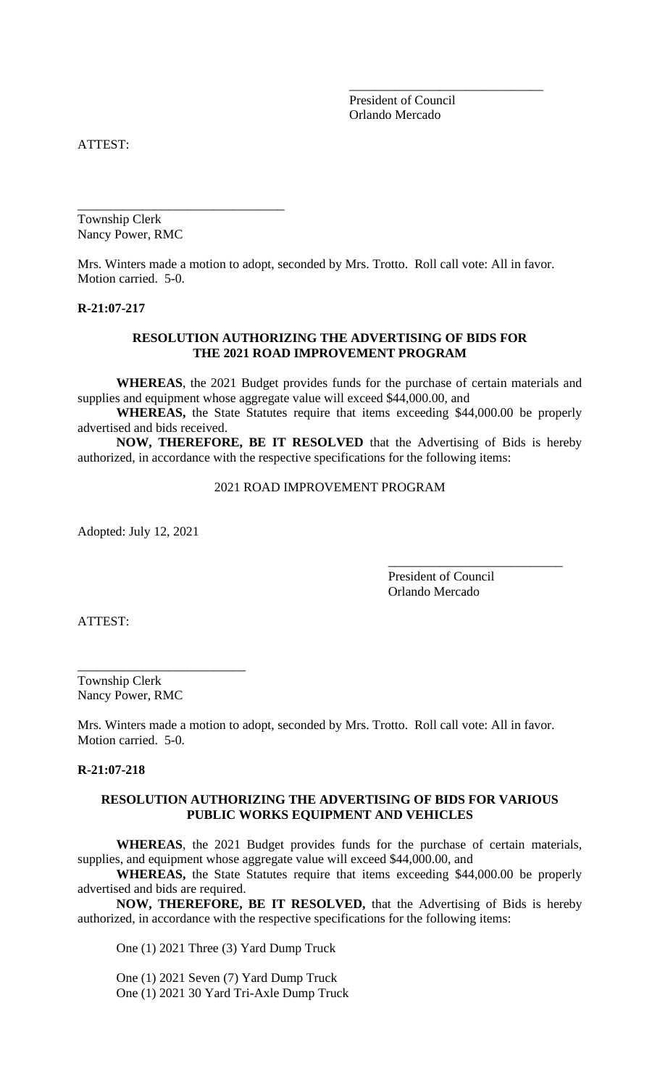President of Council Orlando Mercado

\_\_\_\_\_\_\_\_\_\_\_\_\_\_\_\_\_\_\_\_\_\_\_\_\_\_\_\_\_\_

ATTEST:

Township Clerk Nancy Power, RMC

\_\_\_\_\_\_\_\_\_\_\_\_\_\_\_\_\_\_\_\_\_\_\_\_\_\_\_\_\_\_\_\_

Mrs. Winters made a motion to adopt, seconded by Mrs. Trotto. Roll call vote: All in favor. Motion carried. 5-0.

#### **R-21:07-217**

### **RESOLUTION AUTHORIZING THE ADVERTISING OF BIDS FOR THE 2021 ROAD IMPROVEMENT PROGRAM**

**WHEREAS**, the 2021 Budget provides funds for the purchase of certain materials and supplies and equipment whose aggregate value will exceed \$44,000.00, and

**WHEREAS,** the State Statutes require that items exceeding \$44,000.00 be properly advertised and bids received.

**NOW, THEREFORE, BE IT RESOLVED** that the Advertising of Bids is hereby authorized, in accordance with the respective specifications for the following items:

2021 ROAD IMPROVEMENT PROGRAM

Adopted: July 12, 2021

President of Council Orlando Mercado

\_\_\_\_\_\_\_\_\_\_\_\_\_\_\_\_\_\_\_\_\_\_\_\_\_\_\_

ATTEST:

Township Clerk Nancy Power, RMC

\_\_\_\_\_\_\_\_\_\_\_\_\_\_\_\_\_\_\_\_\_\_\_\_\_\_

Mrs. Winters made a motion to adopt, seconded by Mrs. Trotto. Roll call vote: All in favor. Motion carried. 5-0.

#### **R-21:07-218**

## **RESOLUTION AUTHORIZING THE ADVERTISING OF BIDS FOR VARIOUS PUBLIC WORKS EQUIPMENT AND VEHICLES**

**WHEREAS**, the 2021 Budget provides funds for the purchase of certain materials, supplies, and equipment whose aggregate value will exceed \$44,000.00, and

**WHEREAS,** the State Statutes require that items exceeding \$44,000.00 be properly advertised and bids are required.

**NOW, THEREFORE, BE IT RESOLVED,** that the Advertising of Bids is hereby authorized, in accordance with the respective specifications for the following items:

One (1) 2021 Three (3) Yard Dump Truck

One (1) 2021 Seven (7) Yard Dump Truck One (1) 2021 30 Yard Tri-Axle Dump Truck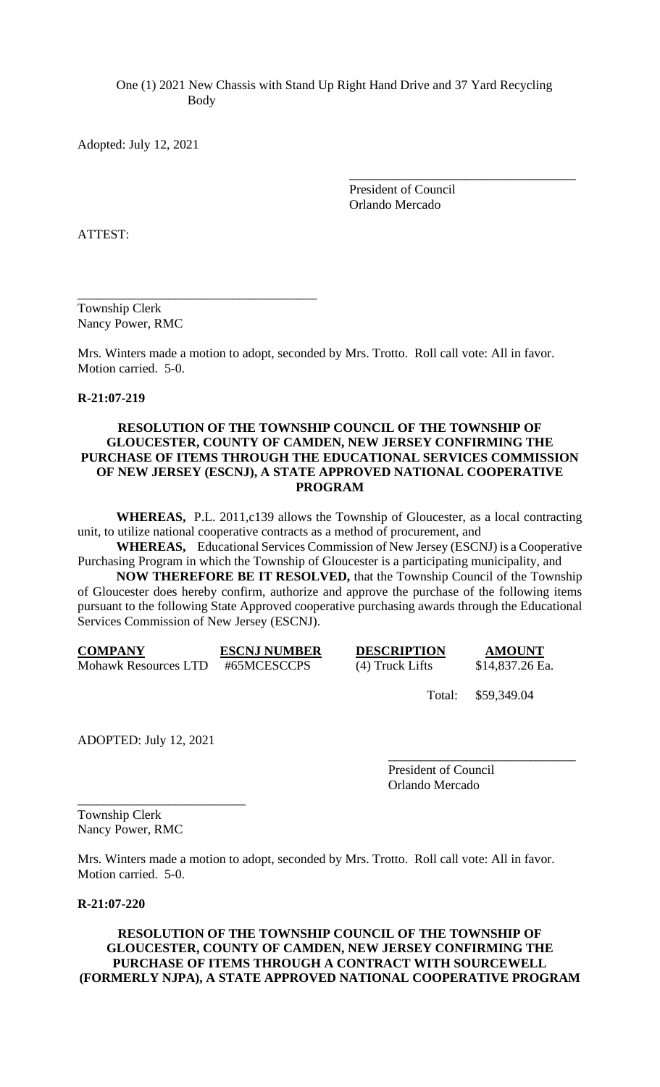One (1) 2021 New Chassis with Stand Up Right Hand Drive and 37 Yard Recycling Body

Adopted: July 12, 2021

President of Council Orlando Mercado

\_\_\_\_\_\_\_\_\_\_\_\_\_\_\_\_\_\_\_\_\_\_\_\_\_\_\_\_\_\_\_\_\_\_\_

ATTEST:

Township Clerk Nancy Power, RMC

\_\_\_\_\_\_\_\_\_\_\_\_\_\_\_\_\_\_\_\_\_\_\_\_\_\_\_\_\_\_\_\_\_\_\_\_\_

Mrs. Winters made a motion to adopt, seconded by Mrs. Trotto. Roll call vote: All in favor. Motion carried. 5-0.

## **R-21:07-219**

## **RESOLUTION OF THE TOWNSHIP COUNCIL OF THE TOWNSHIP OF GLOUCESTER, COUNTY OF CAMDEN, NEW JERSEY CONFIRMING THE PURCHASE OF ITEMS THROUGH THE EDUCATIONAL SERVICES COMMISSION OF NEW JERSEY (ESCNJ), A STATE APPROVED NATIONAL COOPERATIVE PROGRAM**

**WHEREAS,** P.L. 2011,c139 allows the Township of Gloucester, as a local contracting unit, to utilize national cooperative contracts as a method of procurement, and

**WHEREAS,** Educational Services Commission of New Jersey (ESCNJ) is a Cooperative Purchasing Program in which the Township of Gloucester is a participating municipality, and

**NOW THEREFORE BE IT RESOLVED,** that the Township Council of the Township of Gloucester does hereby confirm, authorize and approve the purchase of the following items pursuant to the following State Approved cooperative purchasing awards through the Educational Services Commission of New Jersey (ESCNJ).

| <b>COMPANY</b>              | <b>ESCNJ NUMBER</b> | <b>DESCRIPTION</b> | <b>AMOUNT</b>   |
|-----------------------------|---------------------|--------------------|-----------------|
| <b>Mohawk Resources LTD</b> | #65MCESCCPS         | $(4)$ Truck Lifts  | \$14,837.26 Ea. |

Total: \$59,349.04

\_\_\_\_\_\_\_\_\_\_\_\_\_\_\_\_\_\_\_\_\_\_\_\_\_\_\_\_\_

ADOPTED: July 12, 2021

\_\_\_\_\_\_\_\_\_\_\_\_\_\_\_\_\_\_\_\_\_\_\_\_\_\_

President of Council Orlando Mercado

Township Clerk Nancy Power, RMC

Mrs. Winters made a motion to adopt, seconded by Mrs. Trotto. Roll call vote: All in favor. Motion carried. 5-0.

## **R-21:07-220**

### **RESOLUTION OF THE TOWNSHIP COUNCIL OF THE TOWNSHIP OF GLOUCESTER, COUNTY OF CAMDEN, NEW JERSEY CONFIRMING THE PURCHASE OF ITEMS THROUGH A CONTRACT WITH SOURCEWELL (FORMERLY NJPA), A STATE APPROVED NATIONAL COOPERATIVE PROGRAM**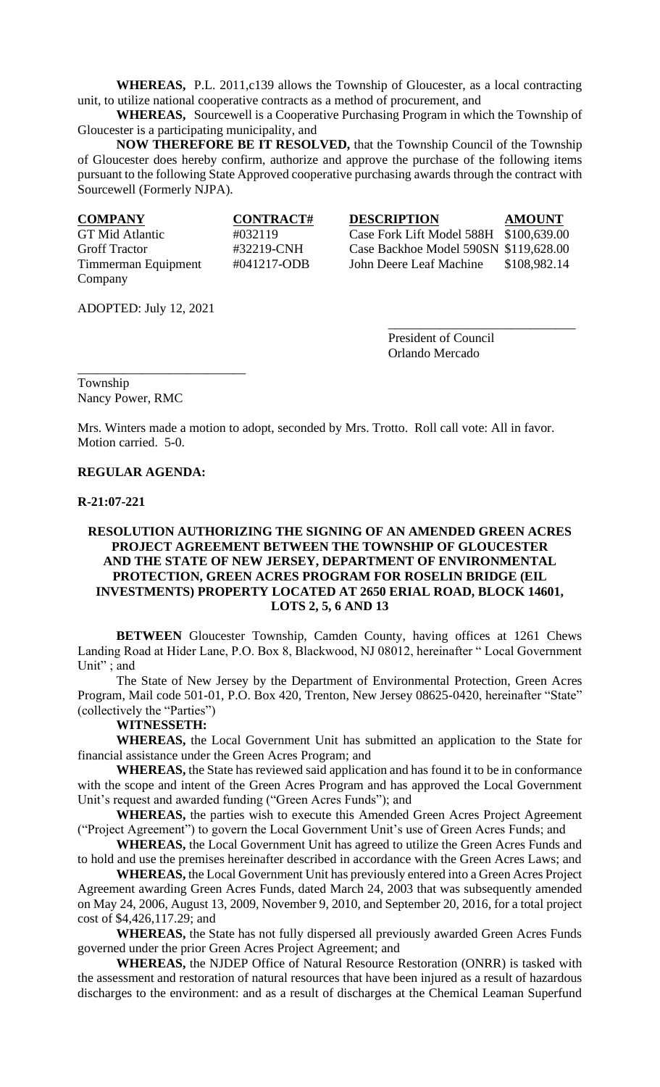**WHEREAS,** P.L. 2011,c139 allows the Township of Gloucester, as a local contracting unit, to utilize national cooperative contracts as a method of procurement, and

**WHEREAS,** Sourcewell is a Cooperative Purchasing Program in which the Township of Gloucester is a participating municipality, and

**NOW THEREFORE BE IT RESOLVED,** that the Township Council of the Township of Gloucester does hereby confirm, authorize and approve the purchase of the following items pursuant to the following State Approved cooperative purchasing awards through the contract with Sourcewell (Formerly NJPA).

| <b>COMPANY</b>       | <b>CONTRACT#</b> | <b>DESCRIPTION</b>                     | <b>AMOUNT</b> |
|----------------------|------------------|----------------------------------------|---------------|
| GT Mid Atlantic      | #032119          | Case Fork Lift Model 588H \$100,639.00 |               |
| <b>Groff Tractor</b> | #32219-CNH       | Case Backhoe Model 590SN \$119,628.00  |               |
| Timmerman Equipment  | #041217-ODB      | John Deere Leaf Machine                | \$108,982.14  |
| Company              |                  |                                        |               |

ADOPTED: July 12, 2021

\_\_\_\_\_\_\_\_\_\_\_\_\_\_\_\_\_\_\_\_\_\_\_\_\_\_

President of Council Orlando Mercado

\_\_\_\_\_\_\_\_\_\_\_\_\_\_\_\_\_\_\_\_\_\_\_\_\_\_\_\_\_

Township Nancy Power, RMC

Mrs. Winters made a motion to adopt, seconded by Mrs. Trotto. Roll call vote: All in favor. Motion carried. 5-0.

### **REGULAR AGENDA:**

**R-21:07-221**

## **RESOLUTION AUTHORIZING THE SIGNING OF AN AMENDED GREEN ACRES PROJECT AGREEMENT BETWEEN THE TOWNSHIP OF GLOUCESTER AND THE STATE OF NEW JERSEY, DEPARTMENT OF ENVIRONMENTAL PROTECTION, GREEN ACRES PROGRAM FOR ROSELIN BRIDGE (EIL INVESTMENTS) PROPERTY LOCATED AT 2650 ERIAL ROAD, BLOCK 14601, LOTS 2, 5, 6 AND 13**

**BETWEEN** Gloucester Township, Camden County, having offices at 1261 Chews Landing Road at Hider Lane, P.O. Box 8, Blackwood, NJ 08012, hereinafter " Local Government Unit"; and

The State of New Jersey by the Department of Environmental Protection, Green Acres Program, Mail code 501-01, P.O. Box 420, Trenton, New Jersey 08625-0420, hereinafter "State" (collectively the "Parties")

**WITNESSETH:**

**WHEREAS,** the Local Government Unit has submitted an application to the State for financial assistance under the Green Acres Program; and

**WHEREAS,** the State has reviewed said application and has found it to be in conformance with the scope and intent of the Green Acres Program and has approved the Local Government Unit's request and awarded funding ("Green Acres Funds"); and

**WHEREAS,** the parties wish to execute this Amended Green Acres Project Agreement ("Project Agreement") to govern the Local Government Unit's use of Green Acres Funds; and

**WHEREAS,** the Local Government Unit has agreed to utilize the Green Acres Funds and to hold and use the premises hereinafter described in accordance with the Green Acres Laws; and

**WHEREAS,** the Local Government Unit has previously entered into a Green Acres Project Agreement awarding Green Acres Funds, dated March 24, 2003 that was subsequently amended on May 24, 2006, August 13, 2009, November 9, 2010, and September 20, 2016, for a total project cost of \$4,426,117.29; and

**WHEREAS,** the State has not fully dispersed all previously awarded Green Acres Funds governed under the prior Green Acres Project Agreement; and

**WHEREAS,** the NJDEP Office of Natural Resource Restoration (ONRR) is tasked with the assessment and restoration of natural resources that have been injured as a result of hazardous discharges to the environment: and as a result of discharges at the Chemical Leaman Superfund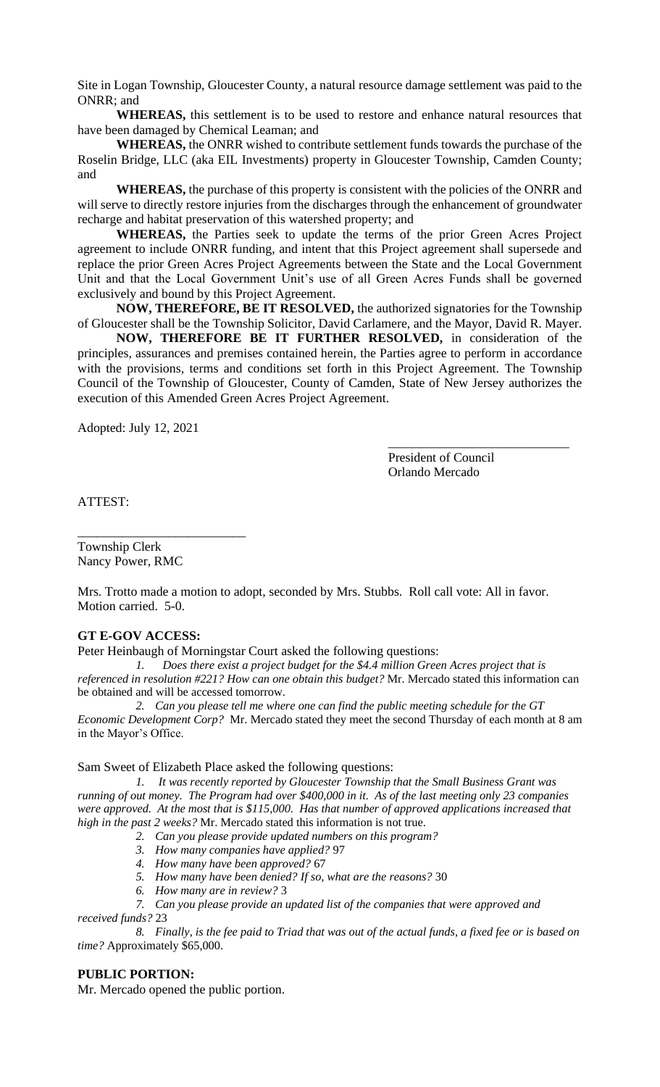Site in Logan Township, Gloucester County, a natural resource damage settlement was paid to the ONRR; and

**WHEREAS,** this settlement is to be used to restore and enhance natural resources that have been damaged by Chemical Leaman; and

**WHEREAS,** the ONRR wished to contribute settlement funds towards the purchase of the Roselin Bridge, LLC (aka EIL Investments) property in Gloucester Township, Camden County; and

**WHEREAS,** the purchase of this property is consistent with the policies of the ONRR and will serve to directly restore injuries from the discharges through the enhancement of groundwater recharge and habitat preservation of this watershed property; and

**WHEREAS,** the Parties seek to update the terms of the prior Green Acres Project agreement to include ONRR funding, and intent that this Project agreement shall supersede and replace the prior Green Acres Project Agreements between the State and the Local Government Unit and that the Local Government Unit's use of all Green Acres Funds shall be governed exclusively and bound by this Project Agreement.

**NOW, THEREFORE, BE IT RESOLVED,** the authorized signatories for the Township of Gloucester shall be the Township Solicitor, David Carlamere, and the Mayor, David R. Mayer.

**NOW, THEREFORE BE IT FURTHER RESOLVED,** in consideration of the principles, assurances and premises contained herein, the Parties agree to perform in accordance with the provisions, terms and conditions set forth in this Project Agreement. The Township Council of the Township of Gloucester, County of Camden, State of New Jersey authorizes the execution of this Amended Green Acres Project Agreement.

Adopted: July 12, 2021

President of Council Orlando Mercado

\_\_\_\_\_\_\_\_\_\_\_\_\_\_\_\_\_\_\_\_\_\_\_\_\_\_\_\_

ATTEST:

Township Clerk Nancy Power, RMC

\_\_\_\_\_\_\_\_\_\_\_\_\_\_\_\_\_\_\_\_\_\_\_\_\_\_

Mrs. Trotto made a motion to adopt, seconded by Mrs. Stubbs. Roll call vote: All in favor. Motion carried. 5-0.

## **GT E-GOV ACCESS:**

Peter Heinbaugh of Morningstar Court asked the following questions:

*1. Does there exist a project budget for the \$4.4 million Green Acres project that is referenced in resolution #221? How can one obtain this budget?* Mr. Mercado stated this information can be obtained and will be accessed tomorrow.

*2. Can you please tell me where one can find the public meeting schedule for the GT Economic Development Corp?* Mr. Mercado stated they meet the second Thursday of each month at 8 am in the Mayor's Office.

Sam Sweet of Elizabeth Place asked the following questions:

*1. It was recently reported by Gloucester Township that the Small Business Grant was running of out money. The Program had over \$400,000 in it. As of the last meeting only 23 companies were approved. At the most that is \$115,000. Has that number of approved applications increased that high in the past 2 weeks?* Mr. Mercado stated this information is not true.

- *2. Can you please provide updated numbers on this program?*
- *3. How many companies have applied?* 97
- *4. How many have been approved?* 67
- *5. How many have been denied? If so, what are the reasons?* 30
- *6. How many are in review?* 3
- *7. Can you please provide an updated list of the companies that were approved and*

*received funds?* 23

*8. Finally, is the fee paid to Triad that was out of the actual funds, a fixed fee or is based on time?* Approximately \$65,000.

#### **PUBLIC PORTION:**

Mr. Mercado opened the public portion.